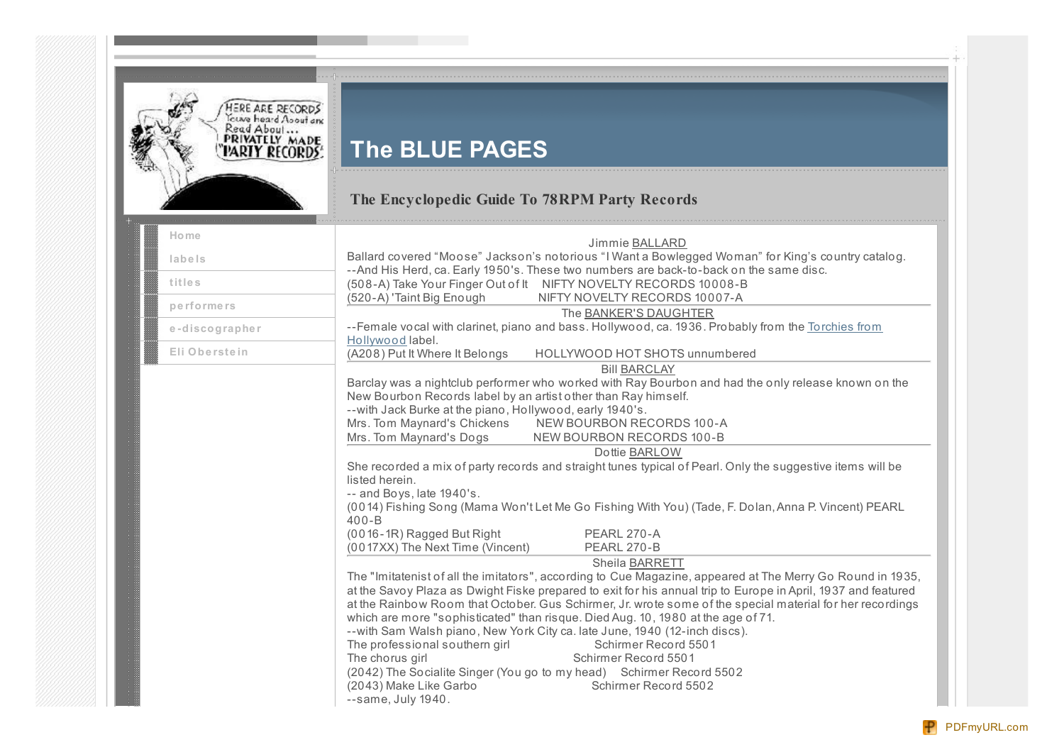

# **The BLUE PAGES**

## **The Encyclopedic Guide To 78RPM Party Records**

| Home           | Jimmie BALLARD                                                                                                                                                                                                                                                                                                                                                                                                                                                                                                                                                                                                                                                                                                                                                  |
|----------------|-----------------------------------------------------------------------------------------------------------------------------------------------------------------------------------------------------------------------------------------------------------------------------------------------------------------------------------------------------------------------------------------------------------------------------------------------------------------------------------------------------------------------------------------------------------------------------------------------------------------------------------------------------------------------------------------------------------------------------------------------------------------|
| labels         | Ballard covered "Moose" Jackson's notorious "I Want a Bowlegged Woman" for King's country catalog.                                                                                                                                                                                                                                                                                                                                                                                                                                                                                                                                                                                                                                                              |
| titles         | --And His Herd, ca. Early 1950's. These two numbers are back-to-back on the same disc.<br>(508-A) Take Your Finger Out of It NIFTY NOVELTY RECORDS 10008-B                                                                                                                                                                                                                                                                                                                                                                                                                                                                                                                                                                                                      |
| performers     | (520-A) 'Taint Big Enough<br>NIFTY NOVELTY RECORDS 10007-A                                                                                                                                                                                                                                                                                                                                                                                                                                                                                                                                                                                                                                                                                                      |
|                | The BANKER'S DAUGHTER<br>--Female vocal with clarinet, piano and bass. Hollywood, ca. 1936. Probably from the Torchies from                                                                                                                                                                                                                                                                                                                                                                                                                                                                                                                                                                                                                                     |
| e-discographer | Hollywood label.                                                                                                                                                                                                                                                                                                                                                                                                                                                                                                                                                                                                                                                                                                                                                |
| Eli Oberstein  | (A208) Put It Where It Belongs<br>HOLLYWOOD HOT SHOTS unnumbered                                                                                                                                                                                                                                                                                                                                                                                                                                                                                                                                                                                                                                                                                                |
|                | <b>Bill BARCLAY</b>                                                                                                                                                                                                                                                                                                                                                                                                                                                                                                                                                                                                                                                                                                                                             |
|                | Barclay was a nightclub performer who worked with Ray Bourbon and had the only release known on the                                                                                                                                                                                                                                                                                                                                                                                                                                                                                                                                                                                                                                                             |
|                | New Bourbon Records label by an artist other than Ray himself.                                                                                                                                                                                                                                                                                                                                                                                                                                                                                                                                                                                                                                                                                                  |
|                | -- with Jack Burke at the piano, Hollywood, early 1940's.                                                                                                                                                                                                                                                                                                                                                                                                                                                                                                                                                                                                                                                                                                       |
|                | NEW BOURBON RECORDS 100-A<br>Mrs. Tom Maynard's Chickens<br>Mrs. Tom Maynard's Dogs<br>NEW BOURBON RECORDS 100-B                                                                                                                                                                                                                                                                                                                                                                                                                                                                                                                                                                                                                                                |
|                |                                                                                                                                                                                                                                                                                                                                                                                                                                                                                                                                                                                                                                                                                                                                                                 |
|                | Dottie BARLOW                                                                                                                                                                                                                                                                                                                                                                                                                                                                                                                                                                                                                                                                                                                                                   |
|                | She recorded a mix of party records and straight tunes typical of Pearl. Only the suggestive items will be<br>listed herein.                                                                                                                                                                                                                                                                                                                                                                                                                                                                                                                                                                                                                                    |
|                | -- and Boys, late 1940's.                                                                                                                                                                                                                                                                                                                                                                                                                                                                                                                                                                                                                                                                                                                                       |
|                | (0014) Fishing Song (Mama Won't Let Me Go Fishing With You) (Tade, F. Dolan, Anna P. Vincent) PEARL<br>$400 - B$                                                                                                                                                                                                                                                                                                                                                                                                                                                                                                                                                                                                                                                |
|                | (0016-1R) Ragged But Right<br>PEARL 270-A                                                                                                                                                                                                                                                                                                                                                                                                                                                                                                                                                                                                                                                                                                                       |
|                | (0017XX) The Next Time (Vincent)<br>PEARL 270-B                                                                                                                                                                                                                                                                                                                                                                                                                                                                                                                                                                                                                                                                                                                 |
|                | Sheila BARRETT                                                                                                                                                                                                                                                                                                                                                                                                                                                                                                                                                                                                                                                                                                                                                  |
|                | The "Imitatenist of all the imitators", according to Cue Magazine, appeared at The Merry Go Round in 1935,<br>at the Savoy Plaza as Dwight Fiske prepared to exit for his annual trip to Europe in April, 1937 and featured<br>at the Rainbow Room that October. Gus Schirmer, Jr. wrote some of the special material for her recordings<br>which are more "sophisticated" than risque. Died Aug. 10, 1980 at the age of 71.<br>--with Sam Walsh piano, New York City ca. late June, 1940 (12-inch discs).<br>The professional southern girl<br>Schirmer Record 5501<br>The chorus girl<br>Schirmer Record 5501<br>(2042) The Socialite Singer (You go to my head) Schirmer Record 5502<br>(2043) Make Like Garbo<br>Schirmer Record 5502<br>--same, July 1940. |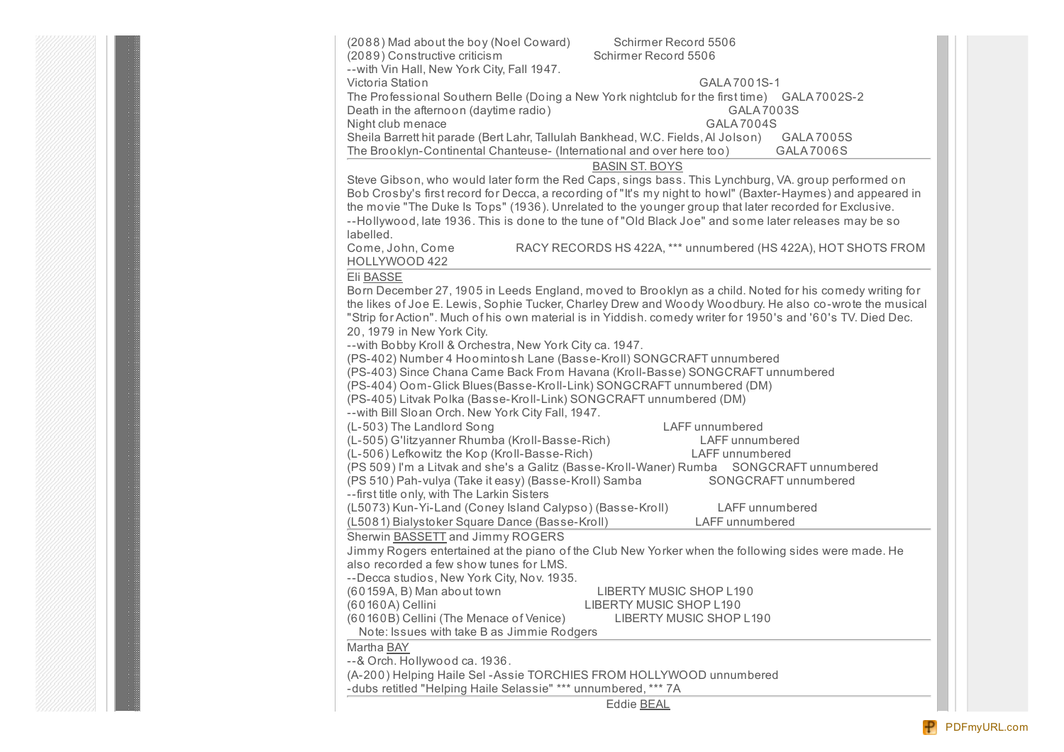| (2088) Mad about the boy (Noel Coward)<br>Schirmer Record 5506                                                                                                                                                                                                                                                                                                                                                                                     |
|----------------------------------------------------------------------------------------------------------------------------------------------------------------------------------------------------------------------------------------------------------------------------------------------------------------------------------------------------------------------------------------------------------------------------------------------------|
| (2089) Constructive criticism<br>Schirmer Record 5506                                                                                                                                                                                                                                                                                                                                                                                              |
| -- with Vin Hall, New York City, Fall 1947.                                                                                                                                                                                                                                                                                                                                                                                                        |
| Victoria Station<br>GALA 7001S-1                                                                                                                                                                                                                                                                                                                                                                                                                   |
| The Professional Southern Belle (Doing a New York nightclub for the first time) GALA 7002S-2                                                                                                                                                                                                                                                                                                                                                       |
| Death in the afternoon (daytime radio)<br>GALA 7003S                                                                                                                                                                                                                                                                                                                                                                                               |
| Night club menace<br><b>GALA 7004S</b>                                                                                                                                                                                                                                                                                                                                                                                                             |
| Sheila Barrett hit parade (Bert Lahr, Tallulah Bankhead, W.C. Fields, Al Jolson)<br>GALA 7005S                                                                                                                                                                                                                                                                                                                                                     |
| The Brooklyn-Continental Chanteuse- (International and over here too)<br>GALA7006S                                                                                                                                                                                                                                                                                                                                                                 |
| <b>BASIN ST. BOYS</b>                                                                                                                                                                                                                                                                                                                                                                                                                              |
| Steve Gibson, who would later form the Red Caps, sings bass. This Lynchburg, VA. group performed on<br>Bob Crosby's first record for Decca, a recording of "It's my night to howl" (Baxter-Haymes) and appeared in<br>the movie "The Duke Is Tops" (1936). Unrelated to the younger group that later recorded for Exclusive.<br>--Hollywood, late 1936. This is done to the tune of "Old Black Joe" and some later releases may be so<br>labelled. |
| RACY RECORDS HS 422A, *** unnumbered (HS 422A), HOT SHOTS FROM<br>Come, John, Come<br>HOLLYWOOD 422                                                                                                                                                                                                                                                                                                                                                |
| Eli BASSE                                                                                                                                                                                                                                                                                                                                                                                                                                          |
| Born December 27, 1905 in Leeds England, moved to Brooklyn as a child. Noted for his comedy writing for                                                                                                                                                                                                                                                                                                                                            |
| the likes of Joe E. Lewis, Sophie Tucker, Charley Drew and Woody Woodbury. He also co-wrote the musical                                                                                                                                                                                                                                                                                                                                            |
| "Strip for Action". Much of his own material is in Yiddish. comedy writer for 1950's and '60's TV. Died Dec.                                                                                                                                                                                                                                                                                                                                       |
| 20, 1979 in New York City.                                                                                                                                                                                                                                                                                                                                                                                                                         |
| --with Bobby Kroll & Orchestra, New York City ca. 1947.                                                                                                                                                                                                                                                                                                                                                                                            |
| (PS-402) Number 4 Hoomintosh Lane (Basse-Kroll) SONGCRAFT unnumbered<br>(PS-403) Since Chana Came Back From Havana (Kroll-Basse) SONGCRAFT unnumbered                                                                                                                                                                                                                                                                                              |
| (PS-404) Oom-Glick Blues (Basse-Kroll-Link) SONGCRAFT unnumbered (DM)                                                                                                                                                                                                                                                                                                                                                                              |
| (PS-405) Litvak Polka (Basse-Kroll-Link) SONGCRAFT unnumbered (DM)                                                                                                                                                                                                                                                                                                                                                                                 |
| -- with Bill Sloan Orch. New York City Fall, 1947.                                                                                                                                                                                                                                                                                                                                                                                                 |
| (L-503) The Landlord Song<br>LAFF unnumbered                                                                                                                                                                                                                                                                                                                                                                                                       |
| (L-505) G'litzyanner Rhumba (Kroll-Basse-Rich)<br><b>LAFF</b> unnumbered                                                                                                                                                                                                                                                                                                                                                                           |
| (L-506) Lefkowitz the Kop (Kroll-Basse-Rich)<br>LAFF unnumbered                                                                                                                                                                                                                                                                                                                                                                                    |
| (PS 509) I'm a Litvak and she's a Galitz (Basse-Kroll-Waner) Rumba  SONGCRAFT unnumbered                                                                                                                                                                                                                                                                                                                                                           |
| (PS 510) Pah-vulya (Take it easy) (Basse-Kroll) Samba<br>SONGCRAFT unnumbered                                                                                                                                                                                                                                                                                                                                                                      |
| --first title only, with The Larkin Sisters                                                                                                                                                                                                                                                                                                                                                                                                        |
| (L5073) Kun-Yi-Land (Coney Island Calypso) (Basse-Kroll)<br>LAFF unnumbered                                                                                                                                                                                                                                                                                                                                                                        |
| (L5081) Bialystoker Square Dance (Basse-Kroll)<br>LAFF unnumbered                                                                                                                                                                                                                                                                                                                                                                                  |
| Sherwin <b>BASSETT</b> and Jimmy ROGERS                                                                                                                                                                                                                                                                                                                                                                                                            |
| Jimmy Rogers entertained at the piano of the Club New Yorker when the following sides were made. He                                                                                                                                                                                                                                                                                                                                                |
| also recorded a few show tunes for LMS.                                                                                                                                                                                                                                                                                                                                                                                                            |
| --Decca studios, New York City, Nov. 1935.                                                                                                                                                                                                                                                                                                                                                                                                         |
| (60159A, B) Man about town<br>LIBERTY MUSIC SHOP L190                                                                                                                                                                                                                                                                                                                                                                                              |
| LIBERTY MUSIC SHOP L190<br>(60160A) Cellini                                                                                                                                                                                                                                                                                                                                                                                                        |
| (60160B) Cellini (The Menace of Venice)<br>LIBERTY MUSIC SHOP L190<br>Note: Issues with take B as Jimmie Rodgers                                                                                                                                                                                                                                                                                                                                   |
| Martha <b>BAY</b>                                                                                                                                                                                                                                                                                                                                                                                                                                  |
| --& Orch. Hollywood ca. 1936.                                                                                                                                                                                                                                                                                                                                                                                                                      |
| (A-200) Helping Haile Sel-Assie TORCHIES FROM HOLLYWOOD unnumbered                                                                                                                                                                                                                                                                                                                                                                                 |
| -dubs retitled "Helping Haile Selassie" *** unnumbered, *** 7A                                                                                                                                                                                                                                                                                                                                                                                     |
| <b>Eddie BEAL</b>                                                                                                                                                                                                                                                                                                                                                                                                                                  |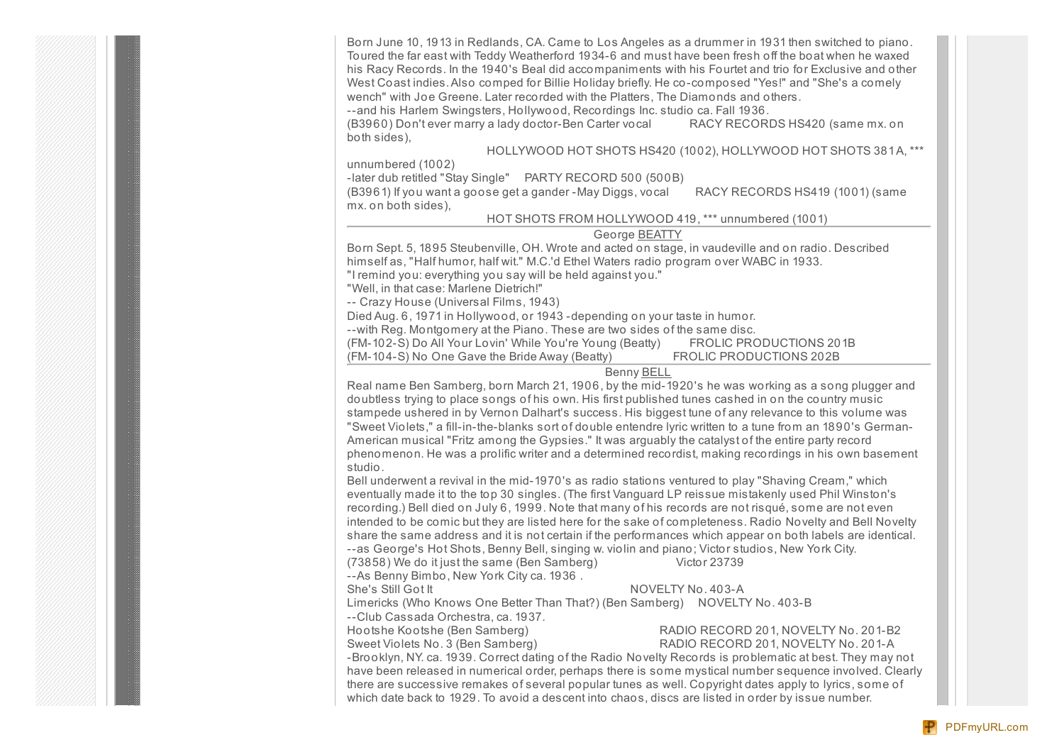Born June 10, 1913 in Redlands, CA. Came to Los Angeles as a drummer in 1931 then switched to piano. Toured the far east with Teddy Weatherford 1934-6 and must have been fresh off the boat when he waxed his Racy Records. In the 1940's Beal did accompaniments with his Fourtet and trio for Exclusive and other West Coast indies.Also comped for Billie Holiday briefly. He co-composed "Yes!" and "She's a comely wench" with Joe Greene. Later recorded with the Platters, The Diamonds and others.

--and his Harlem Swingsters, Hollywood, Recordings Inc. studio ca. Fall 1936.

(B3960) Don't ever marry a lady doctor-Ben Carter vocal RACY RECORDS HS420 (same mx. on both sides),

### HOLLYWOOD HOT SHOTS HS420 (1002), HOLLYWOOD HOT SHOTS 381A, \*\*\*

unnumbered (1002)

-later dub retitled "Stay Single" PARTY RECORD 500 (500B)

(B3961) If you want a goose get a gander -May Diggs, vocal RACY RECORDS HS419 (1001) (same mx. on both sides),

### HOT SHOTS FROM HOLLYWOOD 419, \*\*\* unnumbered (1001)

### George BEATTY

Born Sept. 5, 1895 Steubenville, OH. Wrote and acted on stage, in vaudeville and on radio. Described himself as, "Half humor, half wit." M.C.'d Ethel Waters radio program over WABC in 1933.

"I remind you: everything you say will be held against you."

"Well, in that case: Marlene Dietrich!"

-- Crazy House (Universal Films, 1943)

Died Aug. 6, 1971 in Hollywood, or 1943 -depending on your taste in humor.

--with Reg. Montgomery at the Piano. These are two sides of the same disc.

(FM-102-S) Do All Your Lovin' While You're Young (Beatty) FROLIC PRODUCTIONS 201B

(FM-104-S) No One Gave the Bride Away (Beatty) FROLIC PRODUCTIONS 202B

### Benny BELL

Real name Ben Samberg, born March 21, 1906, by the mid-1920's he was working as a song plugger and doubtless trying to place songs of his own. His first published tunes cashed in on the country music stampede ushered in by Vernon Dalhart's success. His biggest tune of any relevance to this volume was "Sweet Violets," a fill-in-the-blanks sort of double entendre lyric written to a tune from an 1890's German-American musical "Fritz among the Gypsies." It was arguably the catalyst of the entire party record phenomenon. He was a prolific writer and a determined recordist, making recordings in his own basement studio.

Bell underwent a revival in the mid-1970's as radio stations ventured to play "Shaving Cream," which eventually made it to the top 30 singles. (The first Vanguard LP reissue mistakenly used Phil Winston's recording.) Bell died on July 6, 1999. Note that many of his records are not risqué, some are not even intended to be comic but they are listed here for the sake of completeness. Radio Novelty and Bell Novelty share the same address and it is not certain if the performances which appear on both labels are identical. --as George's Hot Shots, Benny Bell, singing w. violin and piano; Victor studios, New York City. (73858) We do it just the same (Ben Samberg) Victor 23739

--As Benny Bimbo, New York City ca. 1936 .

She's Still Got It NOVELTY No. 403-A

Limericks (Who Knows One Better Than That?) (Ben Samberg) NOVELTY No. 403-B

--Club Cassada Orchestra, ca. 1937.

Hootshe Kootshe (Ben Samberg) RADIO RECORD 201, NOVELTY No. 201-B2

## Sweet Violets No. 3 (Ben Samberg) RADIO RECORD 201, NOVELTY No. 201-A

-Brooklyn, NY. ca. 1939. Correct dating of the Radio Novelty Records is problematic at best. They may not have been released in numerical order, perhaps there is some mystical number sequence involved. Clearly there are successive remakes of several popular tunes as well. Copyright dates apply to lyrics, some of which date back to 1929. To avoid a descent into chaos, discs are listed in order by issue number.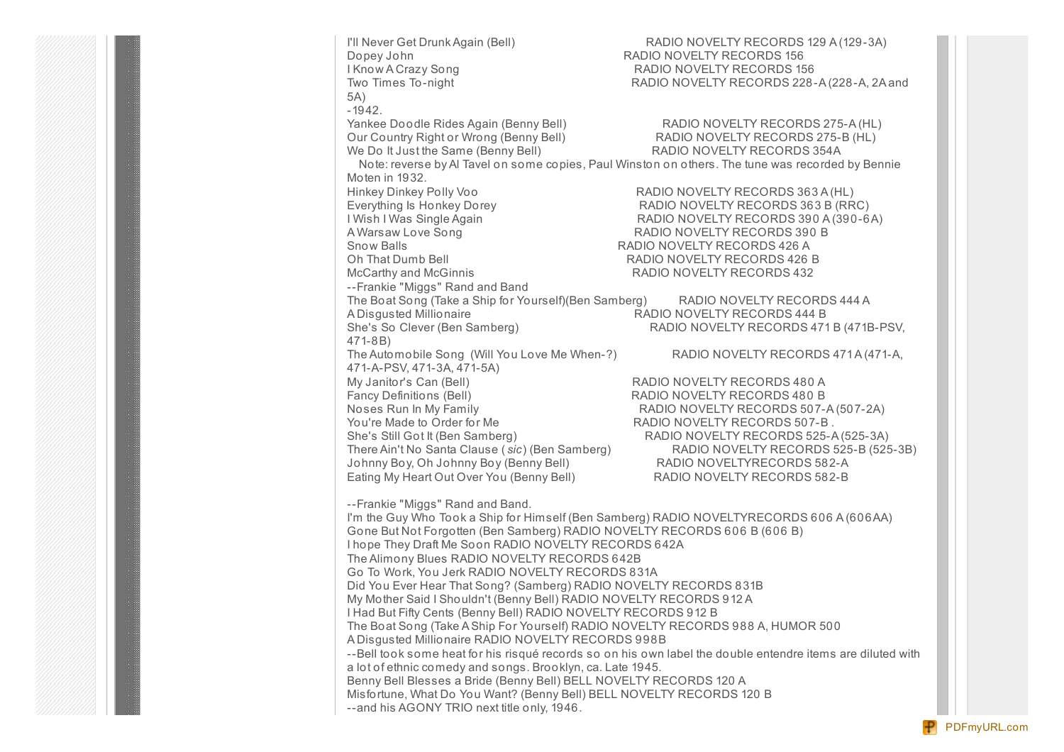I'll Never Get Drunk Again (Bell) RADIO NOVELTY RECORDS 129 A (129-3A) Dopey John RADIO NOVELTY RECORDS 156 I Know A Crazy Song **RADIO NOVELTY RECORDS** 156 Two Times To-night **RADIO NOVELTY RECORDS 228-A** (228-A, 2A and 5A) -1942. Yankee Doodle Rides Again (Benny Bell) RADIO NOVELTY RECORDS 275-A (HL) Our Country Right or Wrong (Benny Bell) RADIO NOVELTY RECORDS 275-B (HL) We Do It Just the Same (Benny Bell) RADIO NOVELTY RECORDS 354A Note: reverse by Al Tavel on some copies, Paul Winston on others. The tune was recorded by Bennie Moten in 1932. Hinkey Dinkey Polly Voo RADIO NOVELTY RECORDS 363 A (HL) Everything Is Honkey Dorey RADIO NOVELTY RECORDS 363 B (RRC) I Wish I Was Single Again RADIO NOVELTY RECORDS 390 A (390-6A) A Warsaw Love Song **RADIO NOVELTY RECORDS 390 B** Snow Balls **Snow Balls RADIO NOVELTY RECORDS 426 A** Oh That Dumb Bell RADIO NOVELTY RECORDS 426 B McCarthy and McGinnis RADIO NOVELTY RECORDS 432 --Frankie "Miggs" Rand and Band The Boat Song (Take a Ship for Yourself)(Ben Samberg) RADIO NOVELTY RECORDS 444 A A Disgusted Millionaire RADIO NOVELTY RECORDS 444 B She's So Clever (Ben Samberg) RADIO NOVELTY RECORDS 471 B (471B-PSV, 471-8B) The Automobile Song (Will You Love Me When-?) RADIO NOVELTY RECORDS 471A (471-A, 471-A-PSV, 471-3A, 471-5A) My Janitor's Can (Bell) RADIO NOVELTY RECORDS 480 A Fancy Definitions (Bell) RADIO NOVELTY RECORDS 480 B Noses Run In My Family **RADIO NOVELTY RECORDS 507-A (507-2A)** You're Made to Order for Me **RADIO NOVELTY RECORDS** 507-B. She's Still Got It (Ben Samberg) RADIO NOVELTY RECORDS 525-A (525-3A) There Ain't No Santa Clause (*sic*) (Ben Samberg) RADIO NOVELTY RECORDS 525-B (525-3B) Johnny Boy, Oh Johnny Boy (Benny Bell) RADIO NOVELTYRECORDS 582-A Eating My Heart Out Over You (Benny Bell) RADIO NOVELTY RECORDS 582-B --Frankie "Miggs" Rand and Band. I'm the Guy Who Took a Ship for Himself (Ben Samberg) RADIO NOVELTYRECORDS 606 A (606AA) Gone But Not Forgotten (Ben Samberg) RADIO NOVELTY RECORDS 606 B (606 B) I hope They Draft Me Soon RADIO NOVELTY RECORDS 642A The Alimony Blues RADIO NOVELTY RECORDS 642B Go To Work, You Jerk RADIO NOVELTY RECORDS 831A Did You Ever Hear That Song? (Samberg) RADIO NOVELTY RECORDS 831B My Mother Said I Shouldn't (Benny Bell) RADIO NOVELTY RECORDS 912 A I Had But Fifty Cents (Benny Bell) RADIO NOVELTY RECORDS 912 B The Boat Song (Take A Ship For Yourself) RADIO NOVELTY RECORDS 988 A, HUMOR 500 A Disgusted Millionaire RADIO NOVELTY RECORDS 998B --Bell took some heat for his risqué records so on his own label the double entendre items are diluted with a lot of ethnic comedy and songs. Brooklyn, ca. Late 1945. Benny Bell Blesses a Bride (Benny Bell) BELL NOVELTY RECORDS 120 A Misfortune, What Do You Want? (Benny Bell) BELL NOVELTY RECORDS 120 B --and his AGONY TRIO next title only, 1946.

[PDFmyURL.com](http://pdfmyurl.com?otsrc=watermark&otclc=0.01)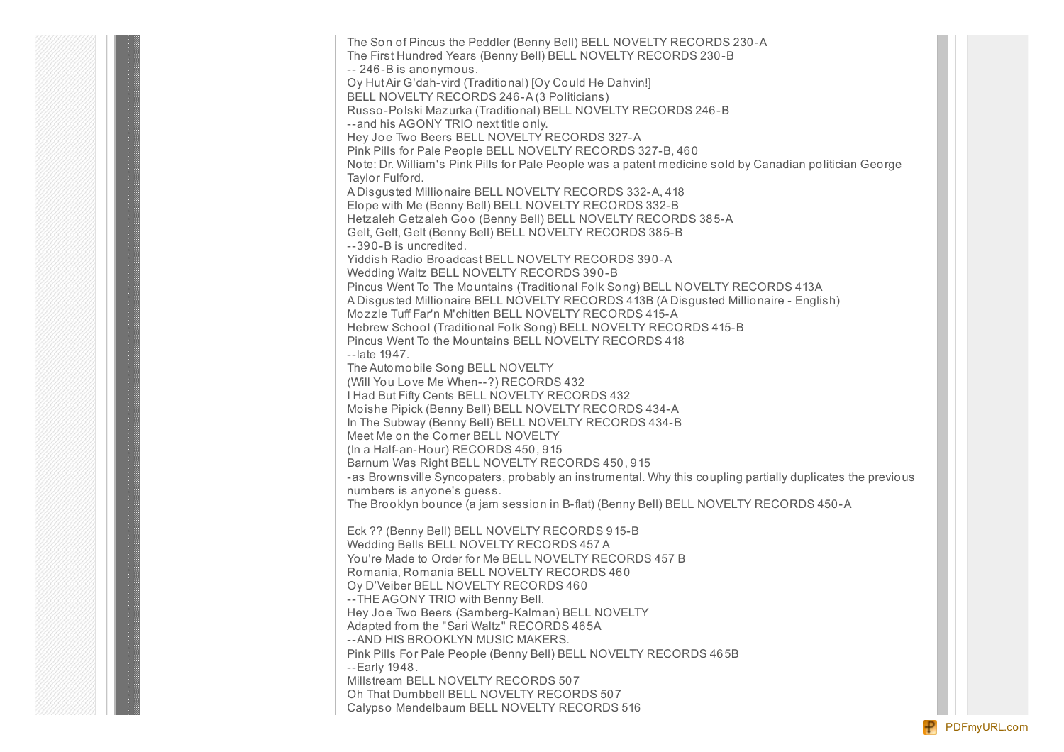The Son of Pincus the Peddler (Benny Bell) BELL NOVELTY RECORDS 230-A The First Hundred Years (Benny Bell) BELL NOVELTY RECORDS 230-B -- 246-B is anonymous. Oy HutAir G'dah-vird (Traditional) [Oy Could He Dahvin!] BELL NOVELTY RECORDS 246-A (3 Politicians) Russo-Polski Mazurka (Traditional) BELL NOVELTY RECORDS 246-B --and his AGONY TRIO next title only. Hey Joe Two Beers BELL NOVELTY RECORDS 327-A Pink Pills for Pale People BELL NOVELTY RECORDS 327-B, 460 Note: Dr. William's Pink Pills for Pale People was a patent medicine sold by Canadian politician George Taylor Fulford. A Disgusted Millionaire BELL NOVELTY RECORDS 332-A, 418 Elope with Me (Benny Bell) BELL NOVELTY RECORDS 332-B Hetzaleh Getzaleh Goo (Benny Bell) BELL NOVELTY RECORDS 385-A Gelt, Gelt, Gelt (Benny Bell) BELL NOVELTY RECORDS 385-B --390-B is uncredited. Yiddish Radio Broadcast BELL NOVELTY RECORDS 390-A Wedding Waltz BELL NOVELTY RECORDS 390-B Pincus Went To The Mountains (Traditional Folk Song) BELL NOVELTY RECORDS 413A A Disgusted Millionaire BELL NOVELTY RECORDS 413B (A Disgusted Millionaire - English) Mozzle Tuff Far'n M'chitten BELL NOVELTY RECORDS 415-A Hebrew School (Traditional Folk Song) BELL NOVELTY RECORDS 415-B Pincus Went To the Mountains BELL NOVELTY RECORDS 418 --late 1947. The Automobile Song BELL NOVELTY (Will You Love Me When--?) RECORDS 432 I Had But Fifty Cents BELL NOVELTY RECORDS 432 Moishe Pipick (Benny Bell) BELL NOVELTY RECORDS 434-A In The Subway (Benny Bell) BELL NOVELTY RECORDS 434-B Meet Me on the Corner BELL NOVELTY (In a Half-an-Hour) RECORDS 450, 915 Barnum Was Right BELL NOVELTY RECORDS 450, 915 -as Brownsville Syncopaters, probably an instrumental. Why this coupling partially duplicates the previous numbers is anyone's guess. The Brooklyn bounce (a jam session in B-flat) (Benny Bell) BELL NOVELTY RECORDS 450-A Eck ?? (Benny Bell) BELL NOVELTY RECORDS 915-B Wedding Bells BELL NOVELTY RECORDS 457 A You're Made to Order for Me BELL NOVELTY RECORDS 457 B Romania, Romania BELL NOVELTY RECORDS 460 Oy D'Veiber BELL NOVELTY RECORDS 460 --THE AGONY TRIO with Benny Bell. Hey Joe Two Beers (Samberg-Kalman) BELL NOVELTY Adapted from the "Sari Waltz" RECORDS 465A --AND HIS BROOKLYN MUSIC MAKERS. Pink Pills For Pale People (Benny Bell) BELL NOVELTY RECORDS 465B --Early 1948. Millstream BELL NOVELTY RECORDS 507 Oh That Dumbbell BELL NOVELTY RECORDS 507 Calypso Mendelbaum BELL NOVELTY RECORDS 516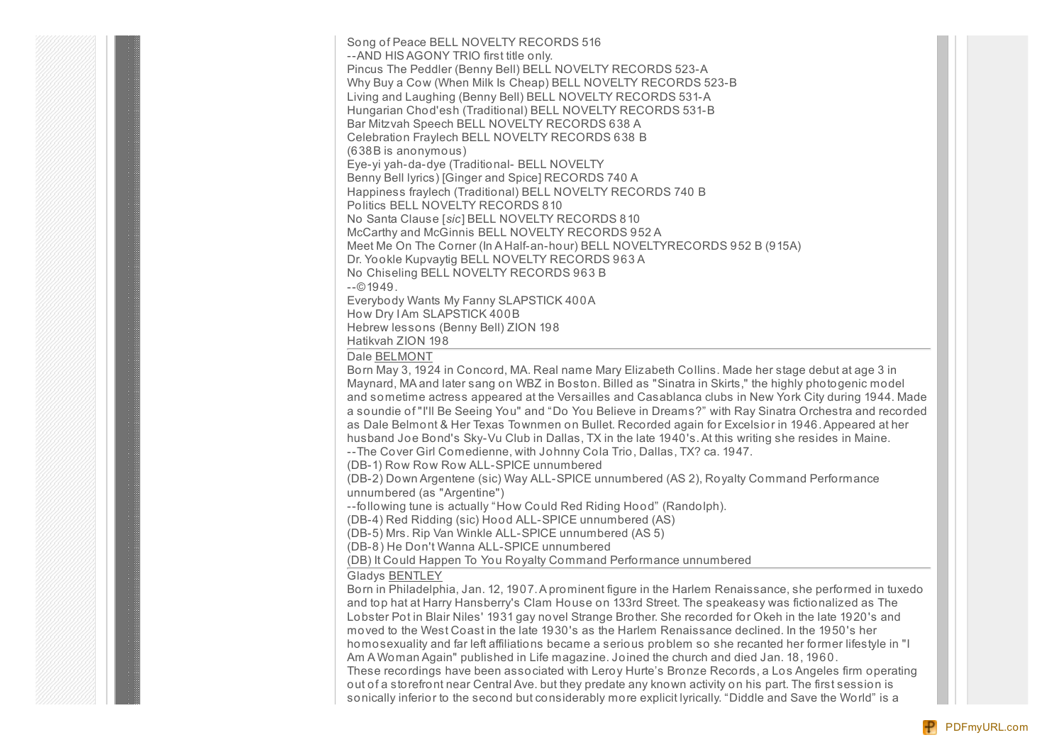Song of Peace BELL NOVELTY RECORDS 516 --AND HIS AGONY TRIO first title only. Pincus The Peddler (Benny Bell) BELL NOVELTY RECORDS 523-A Why Buy a Cow (When Milk Is Cheap) BELL NOVELTY RECORDS 523-B Living and Laughing (Benny Bell) BELL NOVELTY RECORDS 531-A Hungarian Chod'esh (Traditional) BELL NOVELTY RECORDS 531-B Bar Mitzvah Speech BELL NOVELTY RECORDS 638 A Celebration Fraylech BELL NOVELTY RECORDS 638 B (638B is anonymous) Eye-yi yah-da-dye (Traditional- BELL NOVELTY Benny Bell lyrics) [Ginger and Spice] RECORDS 740 A Happiness fraylech (Traditional) BELL NOVELTY RECORDS 740 B Politics BELL NOVELTY RECORDS 810 No Santa Clause [*sic*] BELL NOVELTY RECORDS 810 McCarthy and McGinnis BELL NOVELTY RECORDS 952 A Meet Me On The Corner (In A Half-an-hour) BELL NOVELTYRECORDS 952 B (915A) Dr. Yookle Kupvaytig BELL NOVELTY RECORDS 963 A No Chiseling BELL NOVELTY RECORDS 963 B  $-0.1949$ . Everybody Wants My Fanny SLAPSTICK 400A How Dry IAm SLAPSTICK 400B

Hebrew lessons (Benny Bell) ZION 198

Hatikvah ZION 198

Dale BELMONT

Born May 3, 1924 in Concord, MA. Real name Mary Elizabeth Collins. Made her stage debut at age 3 in Maynard, MA and later sang on WBZ in Boston. Billed as "Sinatra in Skirts," the highly photogenic model and sometime actress appeared at the Versailles and Casablanca clubs in New York City during 1944. Made a soundie of "I'll Be Seeing You" and "Do You Believe in Dreams?" with Ray Sinatra Orchestra and recorded as Dale Belmont & Her Texas Townmen on Bullet. Recorded again for Excelsior in 1946.Appeared at her husband Joe Bond's Sky-Vu Club in Dallas, TX in the late 1940's.At this writing she resides in Maine. --The Cover Girl Comedienne, with Johnny Cola Trio, Dallas, TX? ca. 1947.

(DB-1) Row Row Row ALL-SPICE unnumbered

(DB-2) Down Argentene (sic) Way ALL-SPICE unnumbered (AS 2), Royalty Command Performance unnumbered (as "Argentine")

--following tune is actually "How Could Red Riding Hood" (Randolph).

(DB-4) Red Ridding (sic) Hood ALL-SPICE unnumbered (AS)

(DB-5) Mrs. Rip Van Winkle ALL-SPICE unnumbered (AS 5)

(DB-8) He Don't Wanna ALL-SPICE unnumbered

(DB) It Could Happen To You Royalty Command Performance unnumbered

Gladys BENTLEY

Born in Philadelphia, Jan. 12, 1907. A prominent figure in the Harlem Renaissance, she performed in tuxedo and top hat at Harry Hansberry's Clam House on 133rd Street. The speakeasy was fictionalized as The Lobster Pot in Blair Niles' 1931 gay novel Strange Brother. She recorded for Okeh in the late 1920's and moved to the West Coast in the late 1930's as the Harlem Renaissance declined. In the 1950's her homosexuality and far left affiliations became a serious problem so she recanted her former lifestyle in "I Am A Woman Again" published in Life magazine. Joined the church and died Jan. 18, 1960. These recordings have been associated with Leroy Hurte's Bronze Records, a Los Angeles firm operating out of a storefront near Central Ave. but they predate any known activity on his part. The first session is sonically inferior to the second but considerably more explicit lyrically. "Diddle and Save the World" is a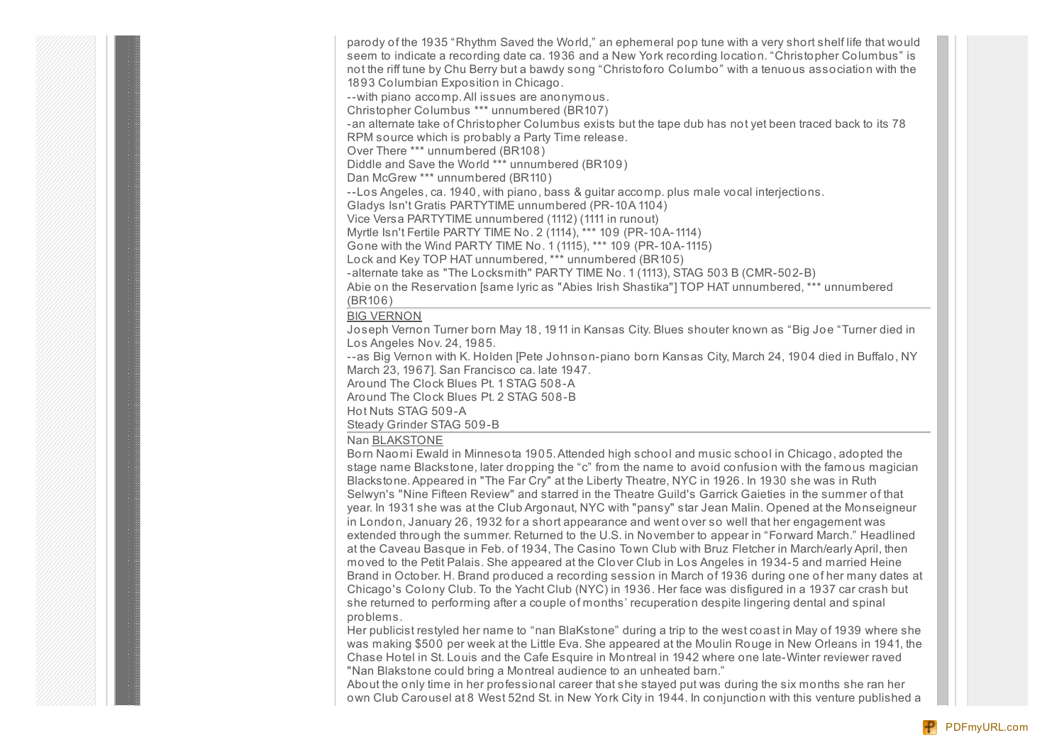parody of the 1935 "Rhythm Saved the World," an ephemeral pop tune with a very short shelf life that would seem to indicate a recording date ca. 1936 and a New York recording location. "Christopher Columbus" is not the riff tune by Chu Berry but a bawdy song "Christoforo Columbo" with a tenuous association with the 1893 Columbian Exposition in Chicago. --with piano accomp.All issues are anonymous.

Christopher Columbus \*\*\* unnumbered (BR107)

-an alternate take of Christopher Columbus exists but the tape dub has not yet been traced back to its 78 RPM source which is probably a Party Time release.

Over There \*\*\* unnumbered (BR108)

Diddle and Save the World \*\*\* unnumbered (BR109)

Dan McGrew \*\*\* unnumbered (BR110)

--Los Angeles, ca. 1940, with piano, bass & guitar accomp. plus male vocal interjections.

Gladys Isn't Gratis PARTYTIME unnumbered (PR-10A 1104)

Vice Versa PARTYTIME unnumbered (1112) (1111 in runout)

Myrtle Isn't Fertile PARTY TIME No. 2 (1114), \*\*\* 109 (PR-10A-1114)

Gone with the Wind PARTY TIME No. 1 (1115), \*\*\* 109 (PR-10A-1115)

Lock and Key TOP HAT unnumbered, \*\*\* unnumbered (BR105)

-alternate take as "The Locksmith" PARTY TIME No. 1 (1113), STAG 503 B (CMR-502-B)

Abie on the Reservation [same lyric as "Abies Irish Shastika"] TOP HAT unnumbered, \*\*\* unnumbered (BR106)

### BIG VERNON

Joseph Vernon Turner born May 18, 1911 in Kansas City. Blues shouter known as "Big Joe "Turner died in Los Angeles Nov. 24, 1985.

--as Big Vernon with K. Holden [Pete Johnson-piano born Kansas City, March 24, 1904 died in Buffalo, NY March 23, 1967]. San Francisco ca. late 1947.

Around The Clock Blues Pt. 1 STAG 508-A

Around The Clock Blues Pt. 2 STAG 508-B

Hot Nuts STAG 509-A

Steady Grinder STAG 509-B

### Nan BLAKSTONE

Born Naomi Ewald in Minnesota 1905.Attended high school and music school in Chicago, adopted the stage name Blackstone, later dropping the "c" from the name to avoid confusion with the famous magician Blackstone.Appeared in "The Far Cry" at the Liberty Theatre, NYC in 1926. In 1930 she was in Ruth Selwyn's "Nine Fifteen Review" and starred in the Theatre Guild's Garrick Gaieties in the summer of that year. In 1931 she was at the Club Argonaut, NYC with "pansy" star Jean Malin. Opened at the Monseigneur in London, January 26, 1932 for a short appearance and went over so well that her engagement was extended through the summer. Returned to the U.S. in November to appear in "Forward March." Headlined at the Caveau Basque in Feb. of 1934, The Casino Town Club with Bruz Fletcher in March/early April, then moved to the Petit Palais. She appeared at the Clover Club in Los Angeles in 1934-5 and married Heine Brand in October. H. Brand produced a recording session in March of 1936 during one of her many dates at Chicago's Colony Club. To the Yacht Club (NYC) in 1936. Her face was disfigured in a 1937 car crash but she returned to performing after a couple of months' recuperation despite lingering dental and spinal problems.

Her publicist restyled her name to "nan BlaKstone" during a trip to the west coast in May of 1939 where she was making \$500 per week at the Little Eva. She appeared at the Moulin Rouge in New Orleans in 1941, the Chase Hotel in St. Louis and the Cafe Esquire in Montreal in 1942 where one late-Winter reviewer raved "Nan Blakstone could bring a Montreal audience to an unheated barn."

About the only time in her professional career that she stayed put was during the six months she ran her own Club Carousel at 8 West 52nd St. in New York City in 1944. In conjunction with this venture published a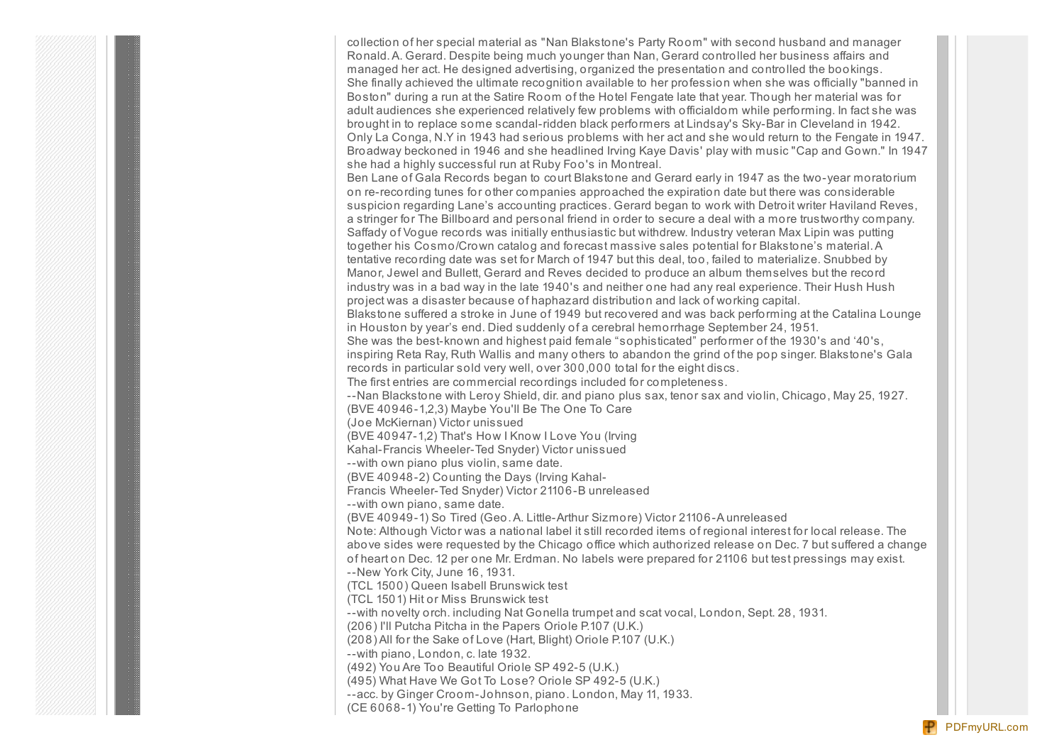collection of her special material as "Nan Blakstone's Party Room" with second husband and manager Ronald.A. Gerard. Despite being much younger than Nan, Gerard controlled her business affairs and managed her act. He designed advertising, organized the presentation and controlled the bookings. She finally achieved the ultimate recognition available to her profession when she was officially "banned in Boston" during a run at the Satire Room of the Hotel Fengate late that year. Though her material was for adult audiences she experienced relatively few problems with officialdom while performing. In fact she was brought in to replace some scandal-ridden black performers at Lindsay's Sky-Bar in Cleveland in 1942. Only La Conga, N.Y in 1943 had serious problems with her act and she would return to the Fengate in 1947. Broadway beckoned in 1946 and she headlined Irving Kaye Davis' play with music "Cap and Gown." In 1947 she had a highly successful run at Ruby Foo's in Montreal. Ben Lane of Gala Records began to court Blakstone and Gerard early in 1947 as the two-year moratorium on re-recording tunes for other companies approached the expiration date but there was considerable suspicion regarding Lane's accounting practices. Gerard began to work with Detroit writer Haviland Reves, a stringer for The Billboard and personal friend in order to secure a deal with a more trustworthy company. Saffady of Vogue records was initially enthusiastic but withdrew. Industry veteran Max Lipin was putting together his Cosmo/Crown catalog and forecast massive sales potential for Blakstone's material.A tentative recording date was set for March of 1947 but this deal, too, failed to materialize. Snubbed by Manor, Jewel and Bullett, Gerard and Reves decided to produce an album themselves but the record industry was in a bad way in the late 1940's and neither one had any real experience. Their Hush Hush project was a disaster because of haphazard distribution and lack of working capital. Blakstone suffered a stroke in June of 1949 but recovered and was back performing at the Catalina Lounge in Houston by year's end. Died suddenly of a cerebral hemorrhage September 24, 1951. She was the best-known and highest paid female "sophisticated" performer of the 1930's and '40's, inspiring Reta Ray, Ruth Wallis and many others to abandon the grind of the pop singer. Blakstone's Gala records in particular sold very well, over 300,000 total for the eight discs. The first entries are commercial recordings included for completeness. --Nan Blackstone with Leroy Shield, dir. and piano plus sax, tenor sax and violin, Chicago, May 25, 1927. (BVE 40946-1,2,3) Maybe You'll Be The One To Care (Joe McKiernan) Victor unissued (BVE 40947-1,2) That's How I Know I Love You (Irving Kahal-Francis Wheeler-Ted Snyder) Victor unissued --with own piano plus violin, same date. (BVE 40948-2) Counting the Days (Irving Kahal-Francis Wheeler-Ted Snyder) Victor 21106-B unreleased --with own piano, same date. (BVE 40949-1) So Tired (Geo.A. Little-Arthur Sizmore) Victor 21106-A unreleased Note: Although Victor was a national label it still recorded items of regional interest for local release. The above sides were requested by the Chicago office which authorized release on Dec. 7 but suffered a change of heart on Dec. 12 per one Mr. Erdman. No labels were prepared for 21106 but test pressings may exist. --New York City, June 16, 1931. (TCL 1500) Queen Isabell Brunswick test (TCL 1501) Hit or Miss Brunswick test --with novelty orch. including Nat Gonella trumpet and scat vocal, London, Sept. 28, 1931. (206) I'll Putcha Pitcha in the Papers Oriole P.107 (U.K.) (208) All for the Sake of Love (Hart, Blight) Oriole P.107 (U.K.) --with piano, London, c. late 1932. (492) You Are Too Beautiful Oriole SP 492-5 (U.K.) (495) What Have We Got To Lose? Oriole SP 492-5 (U.K.) --acc. by Ginger Croom-Johnson, piano. London, May 11, 1933. (CE 6068-1) You're Getting To Parlophone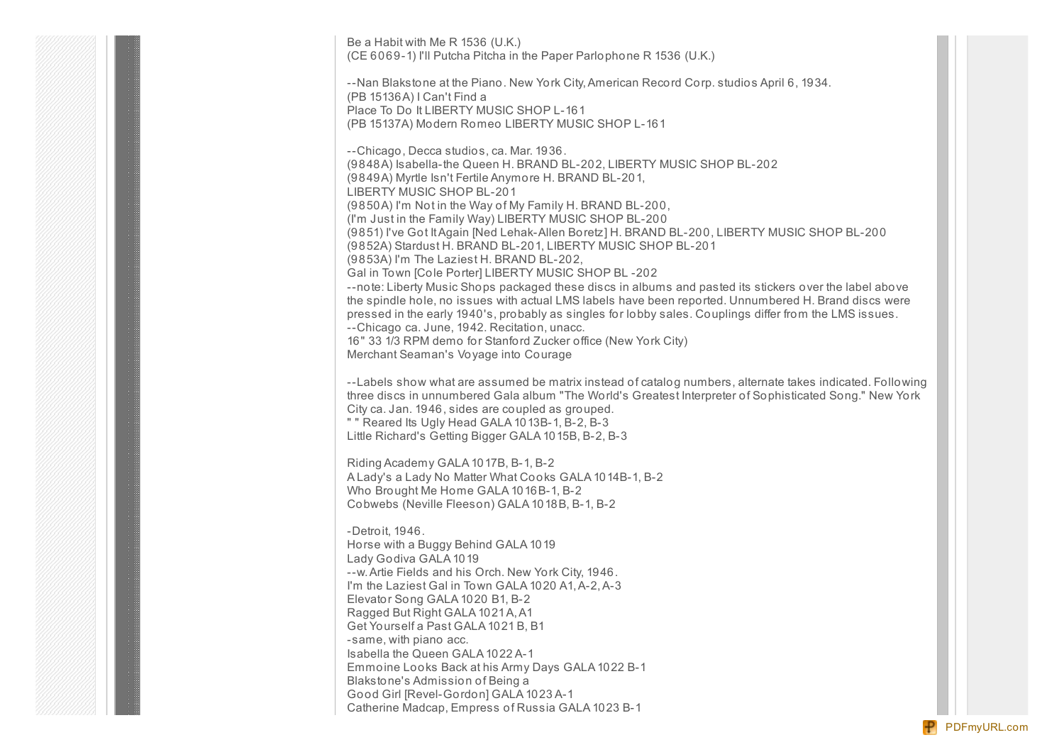Be a Habit with Me R 1536 (U.K.) (CE 6069-1) I'll Putcha Pitcha in the Paper Parlophone R 1536 (U.K.)

--Nan Blakstone at the Piano. New York City, American Record Corp. studios April 6, 1934. (PB 15136A) I Can't Find a Place To Do It LIBERTY MUSIC SHOP L-161 (PB 15137A) Modern Romeo LIBERTY MUSIC SHOP L-161

--Chicago, Decca studios, ca. Mar. 1936. (9848A) Isabella-the Queen H. BRAND BL-202, LIBERTY MUSIC SHOP BL-202 (9849A) Myrtle Isn't Fertile Anymore H. BRAND BL-201, LIBERTY MUSIC SHOP BL-201 (9850A) I'm Not in the Way of My Family H. BRAND BL-200, (I'm Just in the Family Way) LIBERTY MUSIC SHOP BL-200 (9851) I've Got ItAgain [Ned Lehak-Allen Boretz] H. BRAND BL-200, LIBERTY MUSIC SHOP BL-200 (9852A) Stardust H. BRAND BL-201, LIBERTY MUSIC SHOP BL-201 (9853A) I'm The Laziest H. BRAND BL-202, Gal in Town [Cole Porter] LIBERTY MUSIC SHOP BL -202 --note: Liberty Music Shops packaged these discs in albums and pasted its stickers over the label above the spindle hole, no issues with actual LMS labels have been reported. Unnumbered H. Brand discs were pressed in the early 1940's, probably as singles for lobby sales. Couplings differ from the LMS issues. --Chicago ca. June, 1942. Recitation, unacc. 16" 33 1/3 RPM demo for Stanford Zucker office (New York City) Merchant Seaman's Voyage into Courage

--Labels show what are assumed be matrix instead of catalog numbers, alternate takes indicated. Following three discs in unnumbered Gala album "The World's Greatest Interpreter of Sophisticated Song." New York City ca. Jan. 1946, sides are coupled as grouped.

" " Reared Its Ugly Head GALA 1013B-1, B-2, B-3 Little Richard's Getting Bigger GALA 1015B, B-2, B-3

Riding Academy GALA 1017B, B-1, B-2 A Lady's a Lady No Matter What Cooks GALA 1014B-1, B-2 Who Brought Me Home GALA 1016B-1, B-2 Cobwebs (Neville Fleeson) GALA 1018B, B-1, B-2

-Detroit, 1946. Horse with a Buggy Behind GALA 1019 Lady Godiva GALA 1019 --w.Artie Fields and his Orch. New York City, 1946. I'm the Laziest Gal in Town GALA 1020 A1, A-2, A-3 Elevator Song GALA 1020 B1, B-2 Ragged But Right GALA 1021A,A1 Get Yourself a Past GALA 1021 B, B1 -same, with piano acc. Isabella the Queen GALA 1022 A-1 Emmoine Looks Back at his Army Days GALA 1022 B-1 Blakstone's Admission of Being a Good Girl [Revel-Gordon] GALA 1023 A-1 Catherine Madcap, Empress of Russia GALA 1023 B-1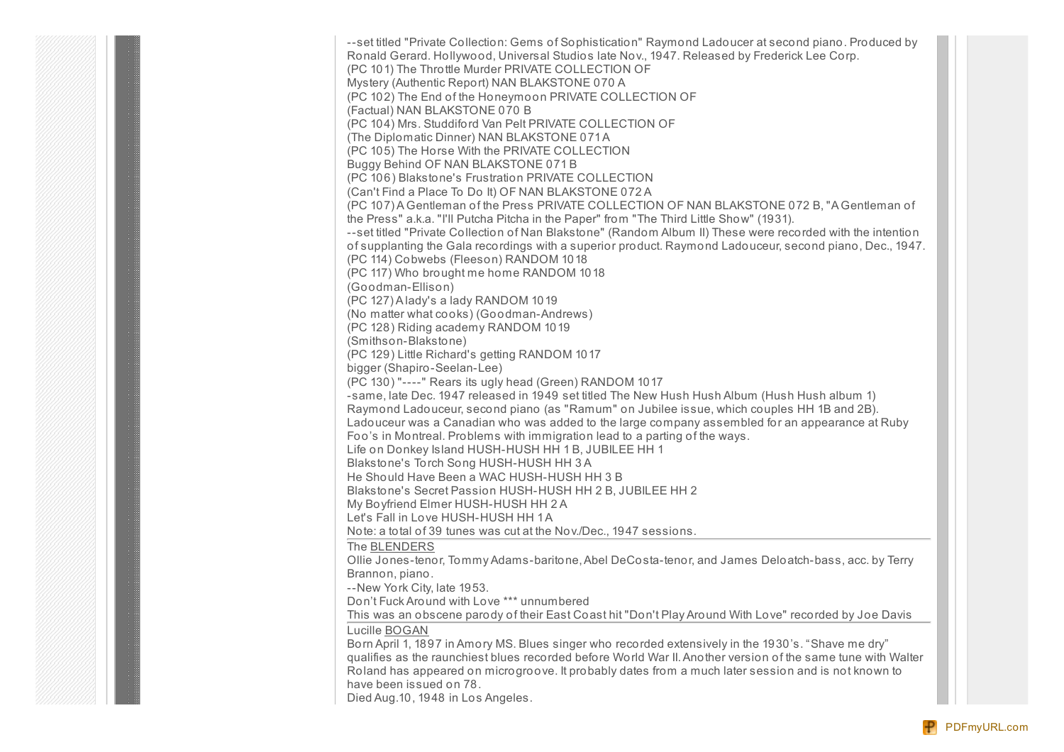--set titled "Private Collection: Gems of Sophistication" Raymond Ladoucer at second piano. Produced by Ronald Gerard. Hollywood, Universal Studios late Nov., 1947. Released by Frederick Lee Corp. (PC 101) The Throttle Murder PRIVATE COLLECTION OF Mystery (Authentic Report) NAN BLAKSTONE 070 A (PC 102) The End of the Honeymoon PRIVATE COLLECTION OF (Factual) NAN BLAKSTONE 070 B (PC 104) Mrs. Studdiford Van Pelt PRIVATE COLLECTION OF (The Diplomatic Dinner) NAN BLAKSTONE 071A (PC 105) The Horse With the PRIVATE COLLECTION Buggy Behind OF NAN BLAKSTONE 071 B (PC 106) Blakstone's Frustration PRIVATE COLLECTION (Can't Find a Place To Do It) OF NAN BLAKSTONE 072 A (PC 107) A Gentleman of the Press PRIVATE COLLECTION OF NAN BLAKSTONE 072 B, "A Gentleman of the Press" a.k.a. "I'll Putcha Pitcha in the Paper" from "The Third Little Show" (1931). --set titled "Private Collection of Nan Blakstone" (Random Album II) These were recorded with the intention of supplanting the Gala recordings with a superior product. Raymond Ladouceur, second piano, Dec., 1947. (PC 114) Cobwebs (Fleeson) RANDOM 1018 (PC 117) Who brought me home RANDOM 1018 (Goodman-Ellison) (PC 127) A lady's a lady RANDOM 1019 (No matter what cooks) (Goodman-Andrews) (PC 128) Riding academy RANDOM 1019 (Smithson-Blakstone) (PC 129) Little Richard's getting RANDOM 1017 bigger (Shapiro-Seelan-Lee) (PC 130) "----" Rears its ugly head (Green) RANDOM 1017 -same, late Dec. 1947 released in 1949 set titled The New Hush Hush Album (Hush Hush album 1) Raymond Ladouceur, second piano (as "Ramum" on Jubilee issue, which couples HH 1B and 2B). Ladouceur was a Canadian who was added to the large company assembled for an appearance at Ruby Foo's in Montreal. Problems with immigration lead to a parting of the ways. Life on Donkey Island HUSH-HUSH HH 1 B, JUBILEE HH 1 Blakstone's Torch Song HUSH-HUSH HH 3 A He Should Have Been a WAC HUSH-HUSH HH 3 B Blakstone's Secret Passion HUSH-HUSH HH 2 B, JUBILEE HH 2 My Boyfriend Elmer HUSH-HUSH HH 2 A Let's Fall in Love HUSH-HUSH HH 1A Note: a total of 39 tunes was cut at the Nov./Dec., 1947 sessions. The BLENDERS Ollie Jones-tenor, Tommy Adams-baritone,Abel DeCosta-tenor, and James Deloatch-bass, acc. by Terry Brannon, piano. --New York City, late 1953. Don't Fuck Around with Love \*\*\* unnumbered This was an obscene parody of their East Coast hit "Don't Play Around With Love" recorded by Joe Davis Lucille BOGAN Born April 1, 1897 in Amory MS. Blues singer who recorded extensively in the 1930's. "Shave me dry" qualifies as the raunchiest blues recorded before World War II.Another version of the same tune with Walter Roland has appeared on microgroove. It probably dates from a much later session and is not known to have been issued on 78. Died Aug.10, 1948 in Los Angeles.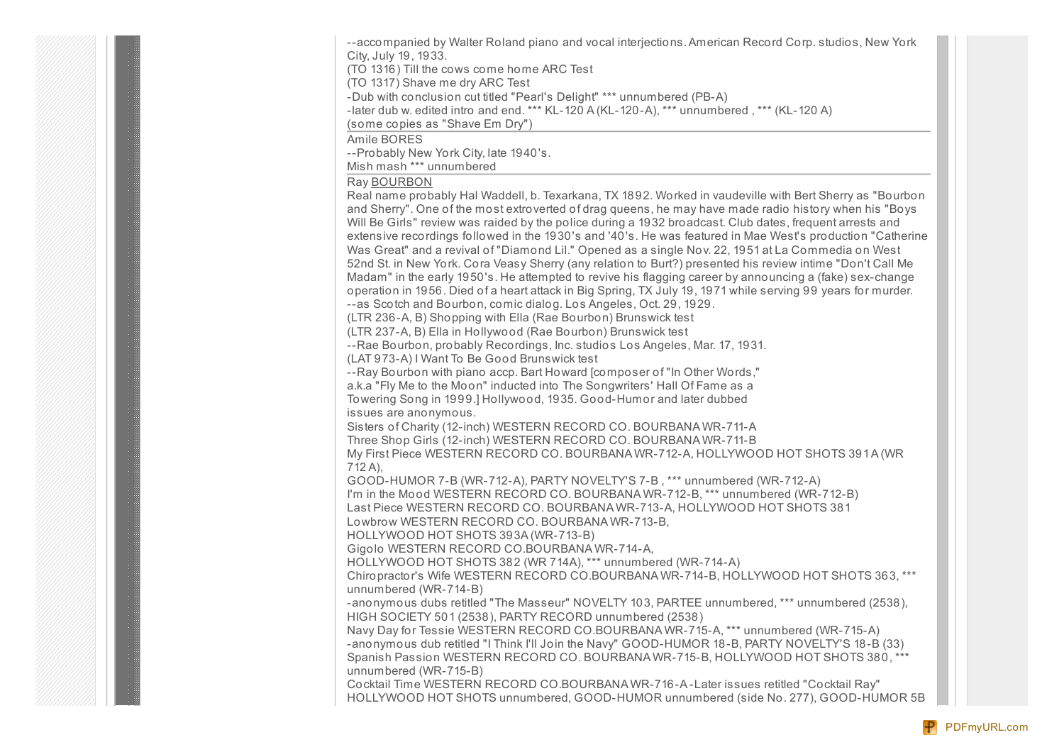--accompanied by Walter Roland piano and vocal interjections.American Record Corp. studios, New York City, July 19, 1933.

(TO 1316) Till the cows come home ARC Test

(TO 1317) Shave me dry ARC Test

-Dub with conclusion cut titled "Pearl's Delight" \*\*\* unnumbered (PB-A)

-later dub w. edited intro and end. \*\*\* KL-120 A (KL-120-A), \*\*\* unnumbered , \*\*\* (KL-120 A)

(some copies as "Shave Em Dry")

Amile BORES

--Probably New York City, late 1940's.

Mish mash \*\*\* unnumbered

### Ray BOURBON

Real name probably Hal Waddell, b. Texarkana, TX 1892. Worked in vaudeville with Bert Sherry as "Bourbon and Sherry". One of the most extroverted of drag queens, he may have made radio history when his "Boys Will Be Girls" review was raided by the police during a 1932 broadcast. Club dates, frequent arrests and extensive recordings followed in the 1930's and '40's. He was featured in Mae West's production "Catherine Was Great" and a revival of "Diamond Lil." Opened as a single Nov. 22, 1951 at La Commedia on West 52nd St. in New York. Cora Veasy Sherry (any relation to Burt?) presented his review intime "Don't Call Me Madam" in the early 1950's. He attempted to revive his flagging career by announcing a (fake) sex-change operation in 1956. Died of a heart attack in Big Spring, TX July 19, 1971 while serving 99 years for murder. --as Scotch and Bourbon, comic dialog. Los Angeles, Oct. 29, 1929.

(LTR 236-A, B) Shopping with Ella (Rae Bourbon) Brunswick test

(LTR 237-A, B) Ella in Hollywood (Rae Bourbon) Brunswick test

--Rae Bourbon, probably Recordings, Inc. studios Los Angeles, Mar. 17, 1931.

(LAT 973-A) I Want To Be Good Brunswick test

--Ray Bourbon with piano accp. Bart Howard [composer of "In Other Words,"

a.k.a "Fly Me to the Moon" inducted into The Songwriters' Hall Of Fame as a Towering Song in 1999.] Hollywood, 1935. Good-Humor and later dubbed

issues are anonymous.

Sisters of Charity (12-inch) WESTERN RECORD CO. BOURBANA WR-711-A Three Shop Girls (12-inch) WESTERN RECORD CO. BOURBANA WR-711-B

My First Piece WESTERN RECORD CO. BOURBANA WR-712-A, HOLLYWOOD HOT SHOTS 391A (WR 712 A),

GOOD-HUMOR 7-B (WR-712-A), PARTY NOVELTY'S 7-B , \*\*\* unnumbered (WR-712-A) I'm in the Mood WESTERN RECORD CO. BOURBANA WR-712-B, \*\*\* unnumbered (WR-712-B) Last Piece WESTERN RECORD CO. BOURBANA WR-713-A, HOLLYWOOD HOT SHOTS 381

Lowbrow WESTERN RECORD CO. BOURBANA WR-713-B,

HOLLYWOOD HOT SHOTS 393A (WR-713-B)

Gigolo WESTERN RECORD CO.BOURBANA WR-714-A,

HOLLYWOOD HOT SHOTS 382 (WR 714A), \*\*\* unnumbered (WR-714-A)

Chiropractor's Wife WESTERN RECORD CO.BOURBANA WR-714-B, HOLLYWOOD HOT SHOTS 363, \*\*\* unnumbered (WR-714-B)

-anonymous dubs retitled "The Masseur" NOVELTY 103, PARTEE unnumbered, \*\*\* unnumbered (2538), HIGH SOCIETY 501 (2538), PARTY RECORD unnumbered (2538)

Navy Day for Tessie WESTERN RECORD CO.BOURBANA WR-715-A, \*\*\* unnumbered (WR-715-A) -anonymous dub retitled "I Think I'll Join the Navy" GOOD-HUMOR 18-B, PARTY NOVELTY'S 18-B (33) Spanish Passion WESTERN RECORD CO. BOURBANA WR-715-B, HOLLYWOOD HOT SHOTS 380, \*\*\* unnumbered (WR-715-B)

Cocktail Time WESTERN RECORD CO.BOURBANA WR-716-A -Later issues retitled "Cocktail Ray" HOLLYWOOD HOT SHOTS unnumbered, GOOD-HUMOR unnumbered (side No. 277), GOOD-HUMOR 5B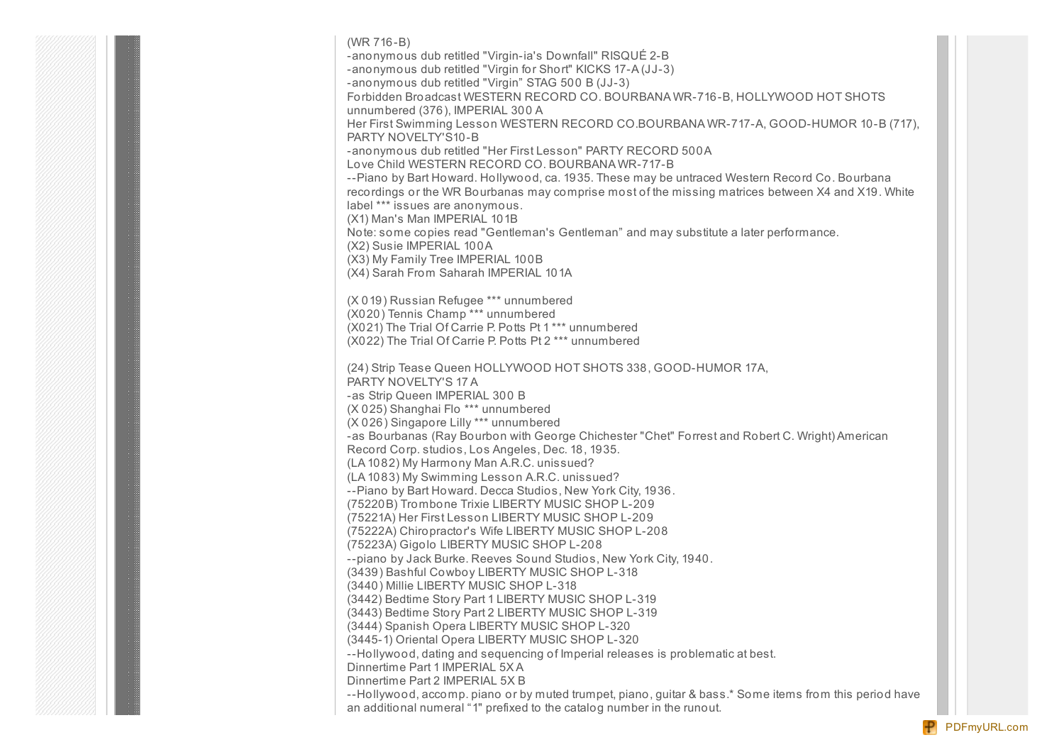(WR 716-B) -anonymous dub retitled "Virgin-ia's Downfall" RISQUÉ 2-B -anonymous dub retitled "Virgin for Short" KICKS 17-A (JJ-3) -anonymous dub retitled "Virgin" STAG 500 B (JJ-3) Forbidden Broadcast WESTERN RECORD CO. BOURBANA WR-716-B, HOLLYWOOD HOT SHOTS unnumbered (376), IMPERIAL 300 A Her First Swimming Lesson WESTERN RECORD CO.BOURBANA WR-717-A, GOOD-HUMOR 10-B (717), PARTY NOVELTY'S10-B -anonymous dub retitled "Her First Lesson" PARTY RECORD 500A Love Child WESTERN RECORD CO. BOURBANA WR-717-B --Piano by Bart Howard. Hollywood, ca. 1935. These may be untraced Western Record Co. Bourbana recordings or the WR Bourbanas may comprise most of the missing matrices between X4 and X19. White label \*\*\* issues are anonymous. (X1) Man's Man IMPERIAL 101B Note: some copies read "Gentleman's Gentleman" and may substitute a later performance. (X2) Susie IMPERIAL 100A (X3) My Family Tree IMPERIAL 100B (X4) Sarah From Saharah IMPERIAL 101A (X 019) Russian Refugee \*\*\* unnumbered (X020) Tennis Champ \*\*\* unnumbered (X021) The Trial Of Carrie P. Potts Pt 1 \*\*\* unnumbered (X022) The Trial Of Carrie P. Potts Pt 2 \*\*\* unnumbered (24) Strip Tease Queen HOLLYWOOD HOT SHOTS 338, GOOD-HUMOR 17A, PARTY NOVELTY'S 17 A -as Strip Queen IMPERIAL 300 B (X 025) Shanghai Flo \*\*\* unnumbered (X 026) Singapore Lilly \*\*\* unnumbered -as Bourbanas (Ray Bourbon with George Chichester "Chet" Forrest and Robert C. Wright) American Record Corp. studios, Los Angeles, Dec. 18, 1935. (LA 1082) My Harmony Man A.R.C. unissued? (LA 1083) My Swimming Lesson A.R.C. unissued? --Piano by Bart Howard. Decca Studios, New York City, 1936. (75220B) Trombone Trixie LIBERTY MUSIC SHOP L-209 (75221A) Her First Lesson LIBERTY MUSIC SHOP L-209 (75222A) Chiropractor's Wife LIBERTY MUSIC SHOP L-208 (75223A) Gigolo LIBERTY MUSIC SHOP L-208 --piano by Jack Burke. Reeves Sound Studios, New York City, 1940. (3439) Bashful Cowboy LIBERTY MUSIC SHOP L-318 (3440) Millie LIBERTY MUSIC SHOP L-318 (3442) Bedtime Story Part 1 LIBERTY MUSIC SHOP L-319 (3443) Bedtime Story Part 2 LIBERTY MUSIC SHOP L-319 (3444) Spanish Opera LIBERTY MUSIC SHOP L-320 (3445-1) Oriental Opera LIBERTY MUSIC SHOP L-320 --Hollywood, dating and sequencing of Imperial releases is problematic at best. Dinnertime Part 1 IMPERIAL 5X A Dinnertime Part 2 IMPERIAL 5X B --Hollywood, accomp. piano or by muted trumpet, piano, guitar & bass.\* Some items from this period have

an additional numeral "1" prefixed to the catalog number in the runout.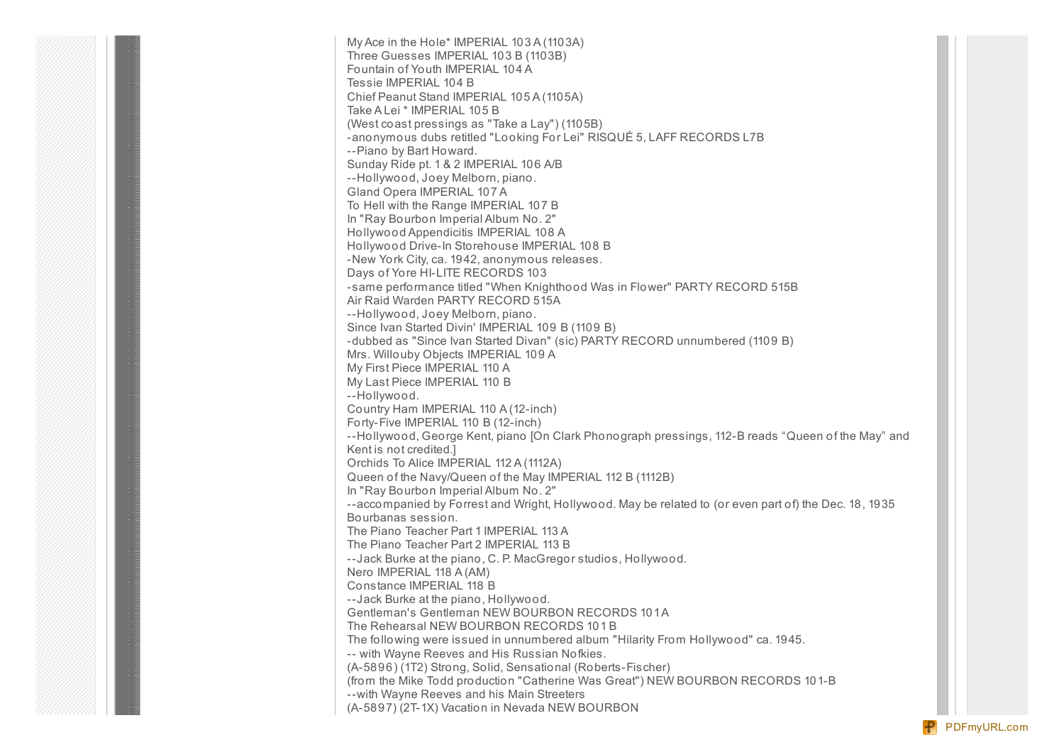My Ace in the Hole\* IMPERIAL 103 A (1103A) Three Guesses IMPERIAL 103 B (1103B) Fountain of Youth IMPERIAL 104 A Tessie IMPERIAL 104 B Chief Peanut Stand IMPERIAL 105 A (1105A) Take A Lei \* IMPERIAL 105 B (West coast pressings as "Take a Lay") (1105B) -anonymous dubs retitled "Looking For Lei" RISQUÉ 5, LAFF RECORDS L7B --Piano by Bart Howard. Sunday Ride pt. 1 & 2 IMPERIAL 106 A/B --Hollywood, Joey Melborn, piano. Gland Opera IMPERIAL 107 A To Hell with the Range IMPERIAL 107 B In "Ray Bourbon Imperial Album No. 2" Hollywood Appendicitis IMPERIAL 108 A Hollywood Drive-In Storehouse IMPERIAL 108 B -New York City, ca. 1942, anonymous releases. Days of Yore HI-LITE RECORDS 103 -same performance titled "When Knighthood Was in Flower" PARTY RECORD 515B Air Raid Warden PARTY RECORD 515A --Hollywood, Joey Melborn, piano. Since Ivan Started Divin' IMPERIAL 109 B (1109 B) -dubbed as "Since Ivan Started Divan" (sic) PARTY RECORD unnumbered (1109 B) Mrs. Willouby Objects IMPERIAL 109 A My First Piece IMPERIAL 110 A My Last Piece IMPERIAL 110 B --Hollywood. Country Ham IMPERIAL 110 A (12-inch) Forty-Five IMPERIAL 110 B (12-inch) --Hollywood, George Kent, piano [On Clark Phonograph pressings, 112-B reads "Queen of the May" and Kent is not credited.] Orchids To Alice IMPERIAL 112 A (1112A) Queen of the Navy/Queen of the May IMPERIAL 112 B (1112B) In "Ray Bourbon Imperial Album No. 2" --accompanied by Forrest and Wright, Hollywood. May be related to (or even part of) the Dec. 18, 1935 Bourbanas session. The Piano Teacher Part 1 IMPERIAL 113 A The Piano Teacher Part 2 IMPERIAL 113 B --Jack Burke at the piano, C. P. MacGregor studios, Hollywood. Nero IMPERIAL 118 A (AM) Constance IMPERIAL 118 B --Jack Burke at the piano, Hollywood. Gentleman's Gentleman NEW BOURBON RECORDS 101A The Rehearsal NEW BOURBON RECORDS 101 B The following were issued in unnumbered album "Hilarity From Hollywood" ca. 1945. -- with Wayne Reeves and His Russian Nofkies. (A-5896) (1T2) Strong, Solid, Sensational (Roberts-Fischer) (from the Mike Todd production "Catherine Was Great") NEW BOURBON RECORDS 101-B --with Wayne Reeves and his Main Streeters (A-5897) (2T-1X) Vacation in Nevada NEW BOURBON

[PDFmyURL.com](http://pdfmyurl.com?otsrc=watermark&otclc=0.01)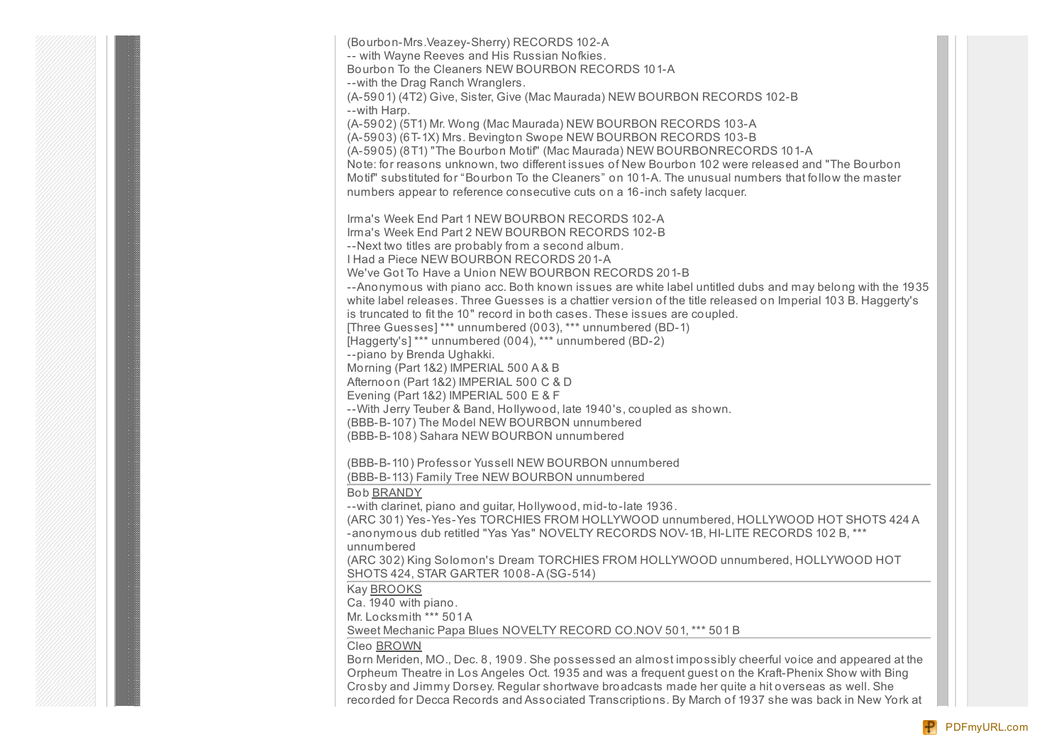